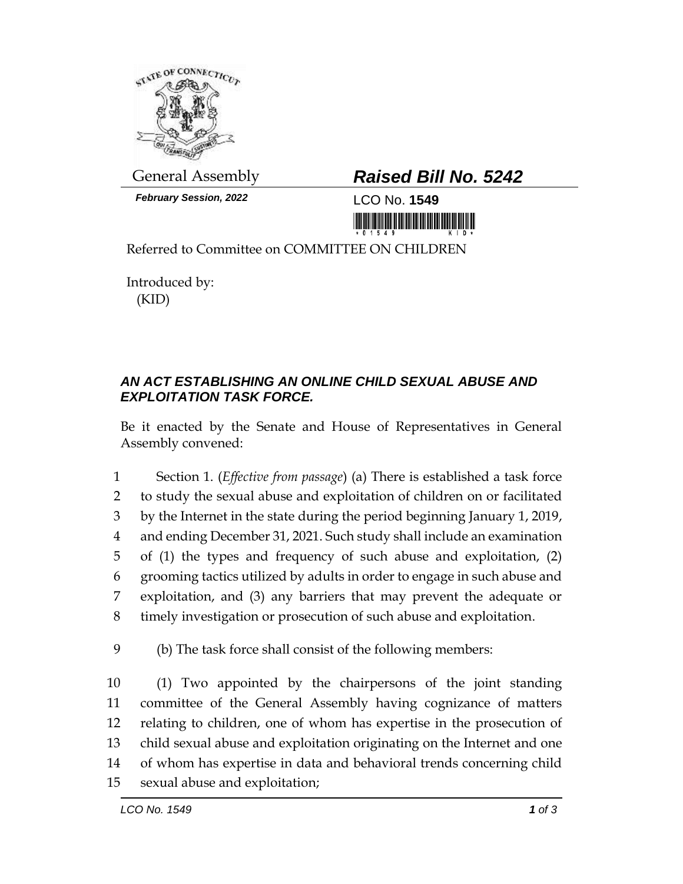

*February Session, 2022* LCO No. **1549**

## General Assembly *Raised Bill No. 5242*

<u> III din bilin bilin bilin bilin bilin bilin bilin bilin bilin bilin bilin bilin bilin bilin bilin bilin bili</u>

Referred to Committee on COMMITTEE ON CHILDREN

Introduced by: (KID)

## *AN ACT ESTABLISHING AN ONLINE CHILD SEXUAL ABUSE AND EXPLOITATION TASK FORCE.*

Be it enacted by the Senate and House of Representatives in General Assembly convened:

 Section 1. (*Effective from passage*) (a) There is established a task force to study the sexual abuse and exploitation of children on or facilitated by the Internet in the state during the period beginning January 1, 2019, and ending December 31, 2021. Such study shall include an examination of (1) the types and frequency of such abuse and exploitation, (2) grooming tactics utilized by adults in order to engage in such abuse and exploitation, and (3) any barriers that may prevent the adequate or timely investigation or prosecution of such abuse and exploitation.

9 (b) The task force shall consist of the following members:

 (1) Two appointed by the chairpersons of the joint standing committee of the General Assembly having cognizance of matters relating to children, one of whom has expertise in the prosecution of child sexual abuse and exploitation originating on the Internet and one of whom has expertise in data and behavioral trends concerning child sexual abuse and exploitation;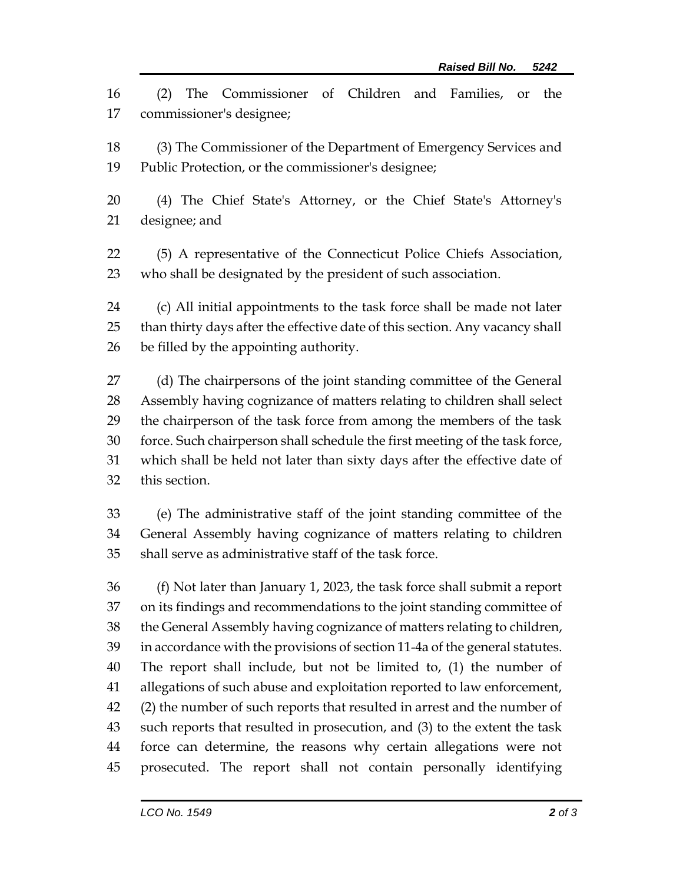(2) The Commissioner of Children and Families, or the commissioner's designee;

 (3) The Commissioner of the Department of Emergency Services and Public Protection, or the commissioner's designee;

 (4) The Chief State's Attorney, or the Chief State's Attorney's designee; and

 (5) A representative of the Connecticut Police Chiefs Association, who shall be designated by the president of such association.

 (c) All initial appointments to the task force shall be made not later than thirty days after the effective date of this section. Any vacancy shall be filled by the appointing authority.

 (d) The chairpersons of the joint standing committee of the General Assembly having cognizance of matters relating to children shall select the chairperson of the task force from among the members of the task force. Such chairperson shall schedule the first meeting of the task force, which shall be held not later than sixty days after the effective date of this section.

 (e) The administrative staff of the joint standing committee of the General Assembly having cognizance of matters relating to children shall serve as administrative staff of the task force.

 (f) Not later than January 1, 2023, the task force shall submit a report on its findings and recommendations to the joint standing committee of the General Assembly having cognizance of matters relating to children, in accordance with the provisions of section 11-4a of the general statutes. The report shall include, but not be limited to, (1) the number of allegations of such abuse and exploitation reported to law enforcement, (2) the number of such reports that resulted in arrest and the number of such reports that resulted in prosecution, and (3) to the extent the task force can determine, the reasons why certain allegations were not prosecuted. The report shall not contain personally identifying